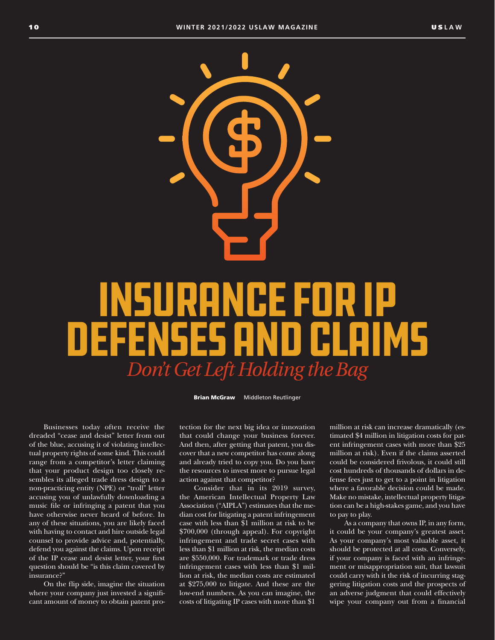# INSURANCE FOR IP DEFENSES AND CLAIMS *Don't Get Left Holding the Bag*

**Brian McGraw** Middleton Reutlinger

Businesses today often receive the dreaded "cease and desist" letter from out of the blue, accusing it of violating intellectual property rights of some kind. This could range from a competitor's letter claiming that your product design too closely resembles its alleged trade dress design to a non-practicing entity (NPE) or "troll" letter accusing you of unlawfully downloading a music file or infringing a patent that you have otherwise never heard of before. In any of these situations, you are likely faced with having to contact and hire outside legal counsel to provide advice and, potentially, defend you against the claims. Upon receipt of the IP cease and desist letter, your first question should be "is this claim covered by insurance?"

On the flip side, imagine the situation where your company just invested a significant amount of money to obtain patent protection for the next big idea or innovation that could change your business forever. And then, after getting that patent, you discover that a new competitor has come along and already tried to copy you. Do you have the resources to invest more to pursue legal action against that competitor?

Consider that in its 2019 survey, the American Intellectual Property Law Association ("AIPLA") estimates that the median cost for litigating a patent infringement case with less than \$1 million at risk to be \$700,000 (through appeal). For copyright infringement and trade secret cases with less than \$1 million at risk, the median costs are \$550,000. For trademark or trade dress infringement cases with less than \$1 million at risk, the median costs are estimated at \$275,000 to litigate. And these are the low-end numbers. As you can imagine, the costs of litigating IP cases with more than \$1

million at risk can increase dramatically (estimated \$4 million in litigation costs for patent infringement cases with more than \$25 million at risk). Even if the claims asserted could be considered frivolous, it could still cost hundreds of thousands of dollars in defense fees just to get to a point in litigation where a favorable decision could be made. Make no mistake, intellectual property litigation can be a high-stakes game, and you have to pay to play.

As a company that owns IP, in any form, it could be your company's greatest asset. As your company's most valuable asset, it should be protected at all costs. Conversely, if your company is faced with an infringement or misappropriation suit, that lawsuit could carry with it the risk of incurring staggering litigation costs and the prospects of an adverse judgment that could effectively wipe your company out from a financial